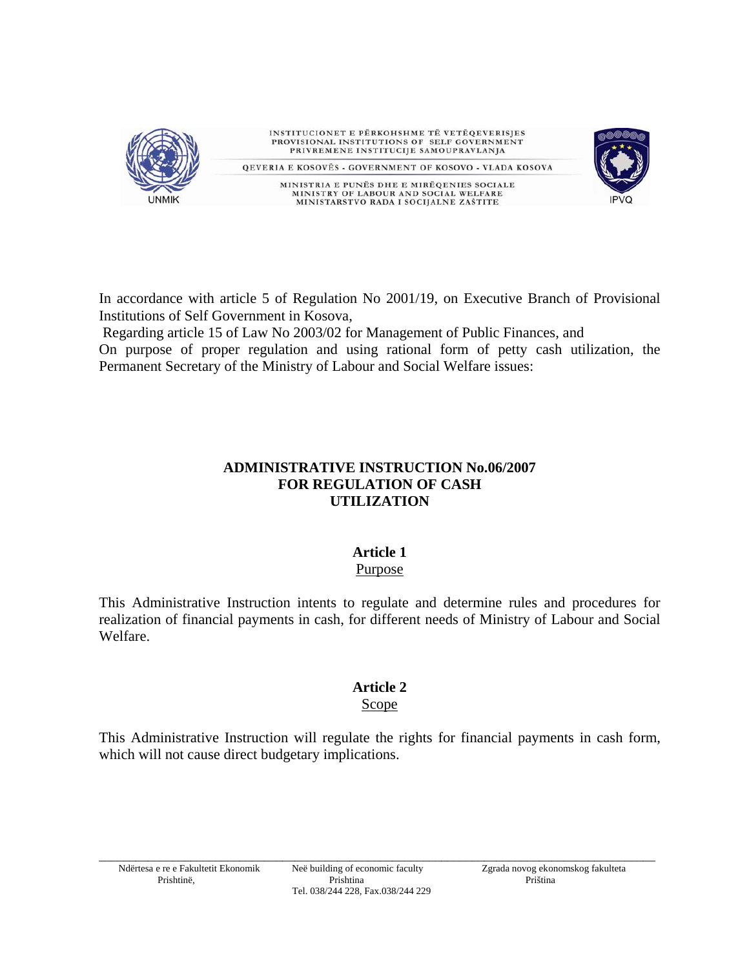

In accordance with article 5 of Regulation No 2001/19, on Executive Branch of Provisional Institutions of Self Government in Kosova,

Regarding article 15 of Law No 2003/02 for Management of Public Finances, and

On purpose of proper regulation and using rational form of petty cash utilization, the Permanent Secretary of the Ministry of Labour and Social Welfare issues:

## **ADMINISTRATIVE INSTRUCTION No.06/2007 FOR REGULATION OF CASH UTILIZATION**

### **Article 1**  Purpose

This Administrative Instruction intents to regulate and determine rules and procedures for realization of financial payments in cash, for different needs of Ministry of Labour and Social Welfare.

## **Article 2**

## Scope

This Administrative Instruction will regulate the rights for financial payments in cash form, which will not cause direct budgetary implications.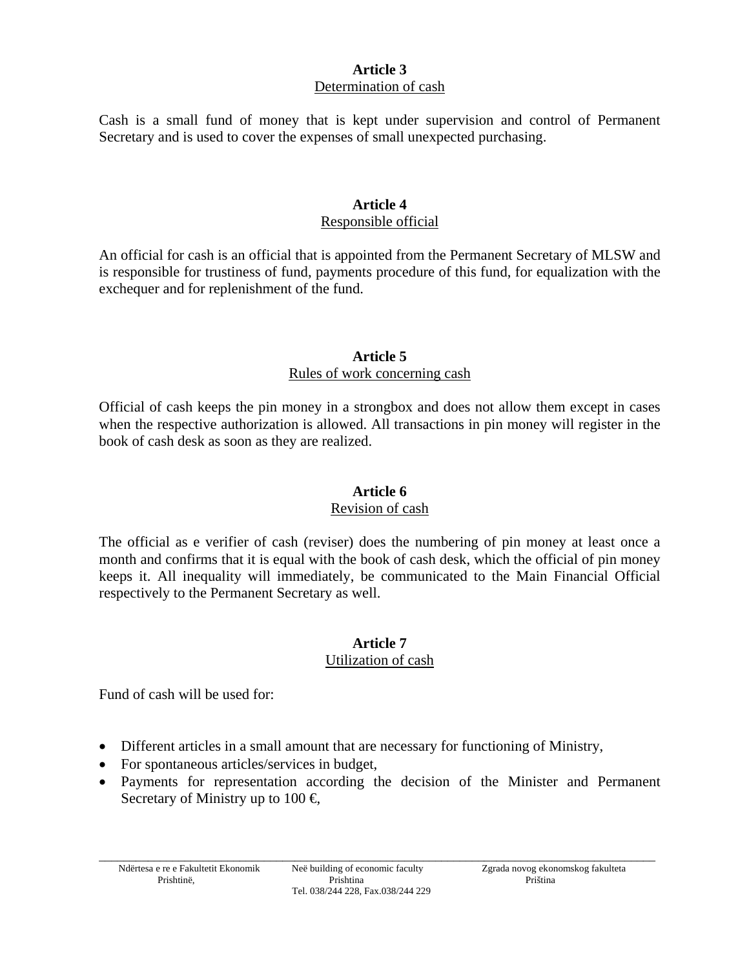## **Article 3**  Determination of cash

Cash is a small fund of money that is kept under supervision and control of Permanent Secretary and is used to cover the expenses of small unexpected purchasing.

## **Article 4**

### Responsible official

An official for cash is an official that is appointed from the Permanent Secretary of MLSW and is responsible for trustiness of fund, payments procedure of this fund, for equalization with the exchequer and for replenishment of the fund.

## **Article 5**  Rules of work concerning cash

Official of cash keeps the pin money in a strongbox and does not allow them except in cases when the respective authorization is allowed. All transactions in pin money will register in the book of cash desk as soon as they are realized.

# **Article 6**

## Revision of cash

The official as e verifier of cash (reviser) does the numbering of pin money at least once a month and confirms that it is equal with the book of cash desk, which the official of pin money keeps it. All inequality will immediately, be communicated to the Main Financial Official respectively to the Permanent Secretary as well.

### **Article 7** Utilization of cash

Fund of cash will be used for:

- Different articles in a small amount that are necessary for functioning of Ministry,
- For spontaneous articles/services in budget,
- Payments for representation according the decision of the Minister and Permanent Secretary of Ministry up to  $100 \in$